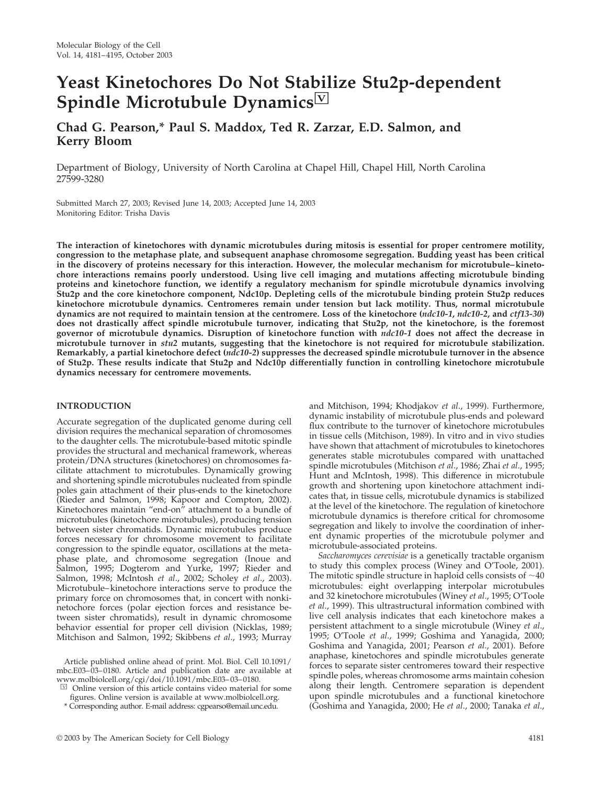# **Yeast Kinetochores Do Not Stabilize Stu2p-dependent** Spindle Microtubule Dynamics<sup>Ⅳ</sup>

**Chad G. Pearson,\* Paul S. Maddox, Ted R. Zarzar, E.D. Salmon, and Kerry Bloom**

Department of Biology, University of North Carolina at Chapel Hill, Chapel Hill, North Carolina 27599-3280

Submitted March 27, 2003; Revised June 14, 2003; Accepted June 14, 2003 Monitoring Editor: Trisha Davis

**The interaction of kinetochores with dynamic microtubules during mitosis is essential for proper centromere motility, congression to the metaphase plate, and subsequent anaphase chromosome segregation. Budding yeast has been critical in the discovery of proteins necessary for this interaction. However, the molecular mechanism for microtubule–kinetochore interactions remains poorly understood. Using live cell imaging and mutations affecting microtubule binding proteins and kinetochore function, we identify a regulatory mechanism for spindle microtubule dynamics involving Stu2p and the core kinetochore component, Ndc10p. Depleting cells of the microtubule binding protein Stu2p reduces kinetochore microtubule dynamics. Centromeres remain under tension but lack motility. Thus, normal microtubule dynamics are not required to maintain tension at the centromere. Loss of the kinetochore (***ndc10-1***,** *ndc10-2***, and** *ctf13-30***) does not drastically affect spindle microtubule turnover, indicating that Stu2p, not the kinetochore, is the foremost governor of microtubule dynamics. Disruption of kinetochore function with** *ndc10-1* **does not affect the decrease in microtubule turnover in** *stu2* **mutants, suggesting that the kinetochore is not required for microtubule stabilization. Remarkably, a partial kinetochore defect (***ndc10-2***) suppresses the decreased spindle microtubule turnover in the absence of Stu2p. These results indicate that Stu2p and Ndc10p differentially function in controlling kinetochore microtubule dynamics necessary for centromere movements.**

## **INTRODUCTION**

Accurate segregation of the duplicated genome during cell division requires the mechanical separation of chromosomes to the daughter cells. The microtubule-based mitotic spindle provides the structural and mechanical framework, whereas protein/DNA structures (kinetochores) on chromosomes facilitate attachment to microtubules. Dynamically growing and shortening spindle microtubules nucleated from spindle poles gain attachment of their plus-ends to the kinetochore (Rieder and Salmon, 1998; Kapoor and Compton, 2002). Kinetochores maintain "end-on" attachment to a bundle of microtubules (kinetochore microtubules), producing tension between sister chromatids. Dynamic microtubules produce forces necessary for chromosome movement to facilitate congression to the spindle equator, oscillations at the metaphase plate, and chromosome segregation (Inoue and Salmon, 1995; Dogterom and Yurke, 1997; Rieder and Salmon, 1998; McIntosh *et al*., 2002; Scholey *et al*., 2003). Microtubule–kinetochore interactions serve to produce the primary force on chromosomes that, in concert with nonkinetochore forces (polar ejection forces and resistance between sister chromatids), result in dynamic chromosome behavior essential for proper cell division (Nicklas, 1989; Mitchison and Salmon, 1992; Skibbens *et al*., 1993; Murray

Article published online ahead of print. Mol. Biol. Cell 10.1091/ mbc.E03–03–0180. Article and publication date are available at www.molbiolcell.org/cgi/doi/10.1091/mbc.E03–03–0180.

and Mitchison, 1994; Khodjakov *et al*., 1999). Furthermore, dynamic instability of microtubule plus-ends and poleward flux contribute to the turnover of kinetochore microtubules in tissue cells (Mitchison, 1989). In vitro and in vivo studies have shown that attachment of microtubules to kinetochores generates stable microtubules compared with unattached spindle microtubules (Mitchison *et al*., 1986; Zhai *et al*., 1995; Hunt and McIntosh, 1998). This difference in microtubule growth and shortening upon kinetochore attachment indicates that, in tissue cells, microtubule dynamics is stabilized at the level of the kinetochore. The regulation of kinetochore microtubule dynamics is therefore critical for chromosome segregation and likely to involve the coordination of inherent dynamic properties of the microtubule polymer and microtubule-associated proteins.

*Saccharomyces cerevisiae* is a genetically tractable organism to study this complex process (Winey and O'Toole, 2001). The mitotic spindle structure in haploid cells consists of  $~10$ microtubules: eight overlapping interpolar microtubules and 32 kinetochore microtubules (Winey *et al*., 1995; O'Toole *et al*., 1999). This ultrastructural information combined with live cell analysis indicates that each kinetochore makes a persistent attachment to a single microtubule (Winey *et al*., 1995; O'Toole *et al*., 1999; Goshima and Yanagida, 2000; Goshima and Yanagida, 2001; Pearson *et al*., 2001). Before anaphase, kinetochores and spindle microtubules generate forces to separate sister centromeres toward their respective spindle poles, whereas chromosome arms maintain cohesion along their length. Centromere separation is dependent upon spindle microtubules and a functional kinetochore (Goshima and Yanagida, 2000; He *et al*., 2000; Tanaka *et al*.,

 $\boxdot$  Online version of this article contains video material for some figures. Online version is available at www.molbiolcell.org.

<sup>\*</sup> Corresponding author. E-mail address: cgpearso@email.unc.edu.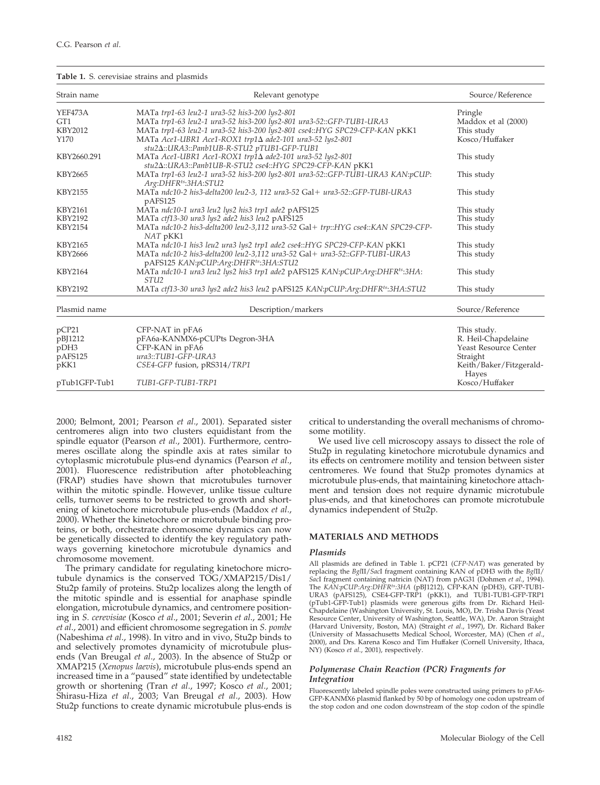#### **Table 1.** S. cerevisiae strains and plasmids

| Strain name     | Relevant genotype                                                                                                              | Source/Reference                 |
|-----------------|--------------------------------------------------------------------------------------------------------------------------------|----------------------------------|
| YEF473A         | MATa trp1-63 leu2-1 ura3-52 his3-200 lys2-801                                                                                  | Pringle                          |
| GT <sub>1</sub> | MATa trp1-63 leu2-1 ura3-52 his3-200 lys2-801 ura3-52::GFP-TUB1-URA3                                                           | Maddox et al (2000)              |
| <b>KBY2012</b>  | MATa trp1-63 leu2-1 ura3-52 his3-200 lys2-801 cse4::HYG SPC29-CFP-KAN pKK1                                                     | This study                       |
| Y170            | MATa Ace1-UBR1 Ace1-ROX1 trp1 $\Delta$ ade2-101 ura3-52 lys2-801<br>stu2 $\Delta$ ::URA3::Panb1UB-R-STU2 pTUB1-GFP-TUB1        | Kosco/Huffaker                   |
| KBY2660.291     | MATa Ace1-UBR1 Ace1-ROX1 trp1∆ ade2-101 ura3-52 lys2-801<br>stu2 $\Delta$ ::URA3::Panb1UB-R-STU2 cse4::HYG SPC29-CFP-KAN pKK1  | This study                       |
| KBY2665         | MATa trp1-63 leu2-1 ura3-52 his3-200 lys2-801 ura3-52::GFP-TUB1-URA3 KAN:pCUP:<br>Arg:DHFR <sup>ts</sup> :3HA:STU2             | This study                       |
| <b>KBY2155</b>  | MATa ndc10-2 his3-delta200 leu2-3, 112 ura3-52 Gal+ ura3-52::GFP-TUBI-URA3<br>pAFS125                                          | This study                       |
| <b>KBY2161</b>  | MATa ndc10-1 ura3 leu2 lys2 his3 trp1 ade2 pAFS125                                                                             | This study                       |
| <b>KBY2192</b>  | MATa ctf13-30 ura3 lys2 ade2 his3 leu2 pAFS125                                                                                 | This study                       |
| <b>KBY2154</b>  | MATa ndc10-2 his3-delta200 leu2-3,112 ura3-52 Gal+ trp::HYG cse4::KAN SPC29-CFP-<br>NAT pKK1                                   | This study                       |
| KBY2165         | MATa ndc10-1 his3 leu2 ura3 lys2 trp1 ade2 cse4::HYG SPC29-CFP-KAN pKK1                                                        | This study                       |
| <b>KBY2666</b>  | MATa ndc10-2 his3-delta200 leu2-3,112 ura3-52 Gal+ ura3-52::GFP-TUB1-URA3<br>pAFS125 KAN:pCUP:Arg:DHFR <sup>ts</sup> :3HA:STU2 | This study                       |
| KBY2164         | MATa ndc10-1 ura3 leu2 lys2 his3 trp1 ade2 pAFS125 KAN:pCUP:Arg:DHFR <sup>ts</sup> :3HA:<br>STU <sub>2</sub>                   | This study                       |
| KBY2192         | MATa ctf13-30 ura3 lys2 ade2 his3 leu2 pAFS125 KAN:pCUP:Arg:DHFR <sup>ts</sup> :3HA:STU2                                       | This study                       |
| Plasmid name    | Description/markers                                                                                                            | Source/Reference                 |
| pCP21           | CFP-NAT in pFA6                                                                                                                | This study.                      |
| pBJ1212         | pFA6a-KANMX6-pCUPts Degron-3HA                                                                                                 | R. Heil-Chapdelaine              |
| pDH3            | CFP-KAN in pFA6                                                                                                                | <b>Yeast Resource Center</b>     |
| pAFS125         | ura3::TUB1-GFP-URA3                                                                                                            | Straight                         |
| pKK1            | CSE4-GFP fusion, pRS314/TRP1                                                                                                   | Keith/Baker/Fitzgerald-<br>Hayes |
| pTub1GFP-Tub1   | TUB1-GFP-TUB1-TRP1                                                                                                             | Kosco/Huffaker                   |

2000; Belmont, 2001; Pearson *et al*., 2001). Separated sister centromeres align into two clusters equidistant from the spindle equator (Pearson *et al*., 2001). Furthermore, centromeres oscillate along the spindle axis at rates similar to cytoplasmic microtubule plus-end dynamics (Pearson *et al*., 2001). Fluorescence redistribution after photobleaching (FRAP) studies have shown that microtubules turnover within the mitotic spindle. However, unlike tissue culture cells, turnover seems to be restricted to growth and shortening of kinetochore microtubule plus-ends (Maddox *et al*., 2000). Whether the kinetochore or microtubule binding proteins, or both, orchestrate chromosome dynamics can now be genetically dissected to identify the key regulatory pathways governing kinetochore microtubule dynamics and chromosome movement.

The primary candidate for regulating kinetochore microtubule dynamics is the conserved TOG/XMAP215/Dis1/ Stu2p family of proteins. Stu2p localizes along the length of the mitotic spindle and is essential for anaphase spindle elongation, microtubule dynamics, and centromere positioning in *S. cerevisiae* (Kosco *et al*., 2001; Severin *et al*., 2001; He *et al*., 2001) and efficient chromosome segregation in *S. pombe* (Nabeshima *et al*., 1998). In vitro and in vivo, Stu2p binds to and selectively promotes dynamicity of microtubule plusends (Van Breugal *et al*., 2003). In the absence of Stu2p or XMAP215 (*Xenopus laevis*), microtubule plus-ends spend an increased time in a "paused" state identified by undetectable growth or shortening (Tran *et al*., 1997; Kosco *et al*., 2001; Shirasu-Hiza *et al*., 2003; Van Breugal *et al*., 2003). How Stu2p functions to create dynamic microtubule plus-ends is

critical to understanding the overall mechanisms of chromosome motility.

We used live cell microscopy assays to dissect the role of Stu2p in regulating kinetochore microtubule dynamics and its effects on centromere motility and tension between sister centromeres. We found that Stu2p promotes dynamics at microtubule plus-ends, that maintaining kinetochore attachment and tension does not require dynamic microtubule plus-ends, and that kinetochores can promote microtubule dynamics independent of Stu2p.

# **MATERIALS AND METHODS**

### *Plasmids*

All plasmids are defined in Table 1. pCP21 (*CFP-NAT*) was generated by replacing the *Bgl*II/*Sac*I fragment containing KAN of pDH3 with the *Bgl*II/ *Sac*I fragment containing natricin (NAT) from pAG31 (Dohmen *et al*., 1994). The *KAN:pCUP:Arg:DHFRts:3HA* (pBJ1212), CFP-KAN (pDH3), GFP-TUB1- URA3 (pAFS125), CSE4-GFP-TRP1 (pKK1), and TUB1-TUB1-GFP-TRP1 (pTub1-GFP-Tub1) plasmids were generous gifts from Dr. Richard Heil-Chapdelaine (Washington University, St. Louis, MO), Dr. Trisha Davis (Yeast Resource Center, University of Washington, Seattle, WA), Dr. Aaron Straight (Harvard University, Boston, MA) (Straight *et al*., 1997), Dr. Richard Baker (University of Massachusetts Medical School, Worcester, MA) (Chen *et al*., 2000), and Drs. Karena Kosco and Tim Huffaker (Cornell University, Ithaca, NY) (Kosco *et al*., 2001), respectively.

#### *Polymerase Chain Reaction (PCR) Fragments for Integration*

Fluorescently labeled spindle poles were constructed using primers to pFA6- GFP-KANMX6 plasmid flanked by 50 bp of homology one codon upstream of the stop codon and one codon downstream of the stop codon of the spindle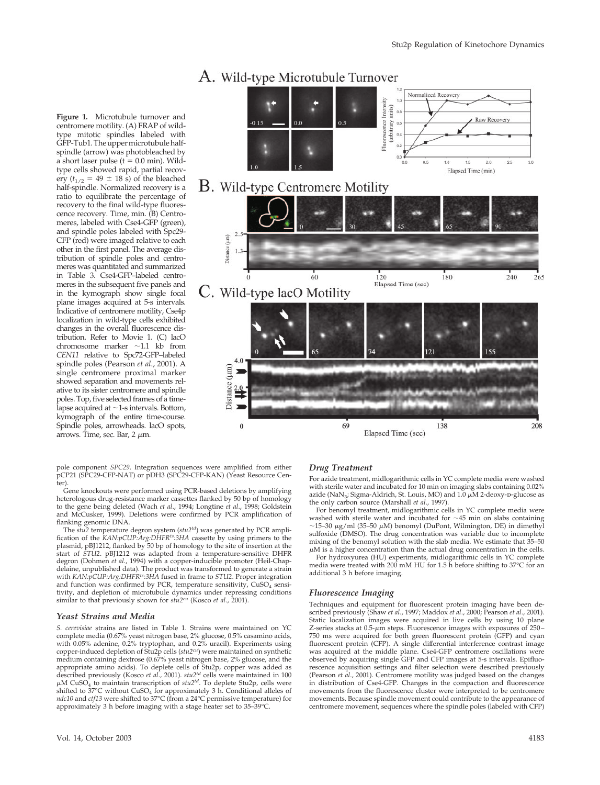# A. Wild-type Microtubule Turnover

**Figure 1.** Microtubule turnover and centromere motility. (A) FRAP of wildtype mitotic spindles labeled with GFP-Tub1. The upper microtubule halfspindle (arrow) was photobleached by a short laser pulse ( $t = 0.0$  min). Wildtype cells showed rapid, partial recovery ( $t_{1/2} = 49 \pm 18$  s) of the bleached half-spindle. Normalized recovery is a ratio to equilibrate the percentage of recovery to the final wild-type fluorescence recovery. Time, min. (B) Centromeres, labeled with Cse4-GFP (green), and spindle poles labeled with Spc29- CFP (red) were imaged relative to each other in the first panel. The average distribution of spindle poles and centromeres was quantitated and summarized in Table 3. Cse4-GFP–labeled centromeres in the subsequent five panels and in the kymograph show single focal plane images acquired at 5-s intervals. Indicative of centromere motility, Cse4p localization in wild-type cells exhibited changes in the overall fluorescence distribution. Refer to Movie 1. (C) lacO chromosome marker  $\sim$ 1.1 kb from *CEN11* relative to Spc72-GFP–labeled spindle poles (Pearson *et al*., 2001). A single centromere proximal marker showed separation and movements relative to its sister centromere and spindle poles. Top, five selected frames of a timelapse acquired at  $\sim$ 1-s intervals. Bottom, kymograph of the entire time-course. Spindle poles, arrowheads. lacO spots, arrows. Time, sec. Bar,  $2 \mu m$ .



pole component *SPC29*. Integration sequences were amplified from either pCP21 (SPC29-CFP-NAT) or pDH3 (SPC29-CFP-KAN) (Yeast Resource Center).

Gene knockouts were performed using PCR-based deletions by amplifying heterologous drug-resistance marker cassettes flanked by 50 bp of homology to the gene being deleted (Wach *et al*., 1994; Longtine *et al*., 1998; Goldstein and McCusker, 1999). Deletions were confirmed by PCR amplification of flanking genomic DNA.

The *stu2* temperature degron system (*stu2td*) was generated by PCR amplification of the *KAN:pCUP:Arg:DHFR<sup>ts:</sup>3HA* cassette by using primers to the plasmid, pBJ1212, flanked by 50 bp of homology to the site of insertion at the start of *STU2*. pBJ1212 was adapted from a temperature-sensitive DHFR degron (Dohmen *et al*., 1994) with a copper-inducible promoter (Heil-Chapdelaine, unpublished data). The product was transformed to generate a strain with *KAN:pCUP:Arg:DHFRts:3HA* fused in frame to *STU2*. Proper integration and function was confirmed by PCR, temperature sensitivity,  $CuSO<sub>4</sub>$  sensitivity, and depletion of microtubule dynamics under repressing conditions similar to that previously shown for *stu2cu* (Kosco *et al*., 2001).

#### *Yeast Strains and Media*

*S. cerevisiae* strains are listed in Table 1. Strains were maintained on YC complete media (0.67% yeast nitrogen base, 2% glucose, 0.5% casamino acids, with 0.05% adenine, 0.2% tryptophan, and 0.2% uracil). Experiments using copper-induced depletion of Stu2p cells (*stu2cu*) were maintained on synthetic medium containing dextrose (0.67% yeast nitrogen base, 2% glucose, and the appropriate amino acids). To deplete cells of Stu2p, copper was added as described previously (Kosco *et al*., 2001). *stu2td* cells were maintained in 100  $\mu$ M CuSO<sub>4</sub> to maintain transcription of  $stu2^{td}$ . To deplete Stu2p, cells were shifted to 37°C without CuSO4 for approximately 3 h. Conditional alleles of *ndc10* and *ctf13* were shifted to 37°C (from a 24°C permissive temperature) for approximately 3 h before imaging with a stage heater set to 35–39°C.

#### *Drug Treatment*

For azide treatment, midlogarithmic cells in YC complete media were washed with sterile water and incubated for 10 min on imaging slabs containing 0.02% azide (NaN<sub>3</sub>; Sigma-Aldrich, St. Louis, MO) and  $1.0 \mu\text{M}$  2-deoxy-p-glucose as the only carbon source (Marshall *et al*., 1997).

For benomyl treatment, midlogarithmic cells in YC complete media were washed with sterile water and incubated for  $\sim$ 45 min on slabs containing  $\sim$ 15–30  $\mu$ g/ml (35–50  $\mu$ M) benomyl (DuPont, Wilmington, DE) in dimethyl sulfoxide (DMSO). The drug concentration was variable due to incomplete mixing of the benomyl solution with the slab media. We estimate that 35–50  $\mu$ M is a higher concentration than the actual drug concentration in the cells.

For hydroxyurea (HU) experiments, midlogarithmic cells in YC complete media were treated with 200 mM HU for 1.5 h before shifting to 37°C for an additional 3 h before imaging.

#### *Fluorescence Imaging*

Techniques and equipment for fluorescent protein imaging have been described previously (Shaw *et al*., 1997; Maddox *et al*., 2000; Pearson *et al*., 2001). Static localization images were acquired in live cells by using 10 plane Z-series stacks at  $0.5$ - $\mu$ m steps. Fluorescence images with exposures of 250– 750 ms were acquired for both green fluorescent protein (GFP) and cyan fluorescent protein (CFP). A single differential interference contrast image was acquired at the middle plane. Cse4-GFP centromere oscillations were observed by acquiring single GFP and CFP images at 5-s intervals. Epifluorescence acquisition settings and filter selection were described previously (Pearson *et al*., 2001). Centromere motility was judged based on the changes in distribution of Cse4-GFP. Changes in the compaction and fluorescence movements from the fluorescence cluster were interpreted to be centromere movements. Because spindle movement could contribute to the appearance of centromere movement, sequences where the spindle poles (labeled with CFP)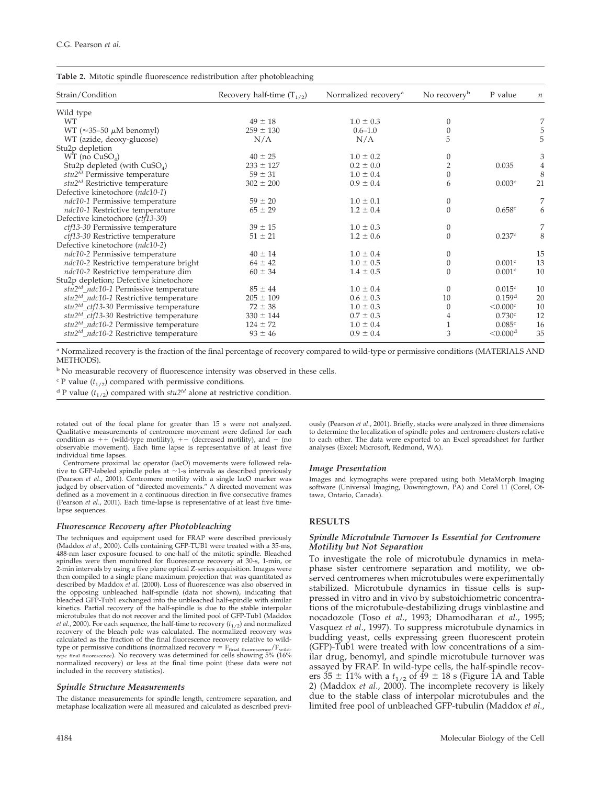|  |  | Table 2. Mitotic spindle fluorescence redistribution after photobleaching |  |  |
|--|--|---------------------------------------------------------------------------|--|--|
|  |  |                                                                           |  |  |

| Strain/Condition                                    | Recovery half-time $(T_{1/2})$ | Normalized recovery <sup>a</sup> | No recovery <sup>b</sup> | P value              | $\boldsymbol{n}$ |
|-----------------------------------------------------|--------------------------------|----------------------------------|--------------------------|----------------------|------------------|
| Wild type                                           |                                |                                  |                          |                      |                  |
| <b>WT</b>                                           | $49 \pm 18$                    | $1.0 \pm 0.3$                    | $\theta$                 |                      | 7                |
| WT ( $\approx$ 35–50 $\mu$ M benomyl)               | $259 \pm 130$                  | $0.6 - 1.0$                      | $\theta$                 |                      | 5                |
| WT (azide, deoxy-glucose)                           | N/A                            | N/A                              | 5                        |                      | 5                |
| Stu2p depletion                                     |                                |                                  |                          |                      |                  |
| $WT$ (no $CuSOA$ )                                  | $40 \pm 25$                    | $1.0 \pm 0.2$                    | $\mathbf{0}$             |                      | $\mathfrak{Z}$   |
| Stu2p depleted (with $CuSO4$ )                      | $233 \pm 127$                  | $0.2 \pm 0.0$                    | $\overline{2}$           | 0.035                | $\overline{4}$   |
| stu2 <sup>td</sup> Permissive temperature           | $59 \pm 31$                    | $1.0 \pm 0.4$                    | $\theta$                 |                      | 8                |
| stu2 <sup>td</sup> Restrictive temperature          | $302 \pm 200$                  | $0.9 \pm 0.4$                    | 6                        | 0.003c               | 21               |
| Defective kinetochore (ndc10-1)                     |                                |                                  |                          |                      |                  |
| ndc10-1 Permissive temperature                      | $59 \pm 20$                    | $1.0 \pm 0.1$                    | $\theta$                 |                      | 7                |
| ndc10-1 Restrictive temperature                     | $65 \pm 29$                    | $1.2 \pm 0.4$                    | $\theta$                 | 0.658c               | 6                |
| Defective kinetochore (ctf13-30)                    |                                |                                  |                          |                      |                  |
| ctf13-30 Permissive temperature                     | $39 \pm 15$                    | $1.0 \pm 0.3$                    | 0                        |                      | $\overline{7}$   |
| ctf13-30 Restrictive temperature                    | $51 \pm 21$                    | $1.2 \pm 0.6$                    | $\Omega$                 | 0.237c               | 8                |
| Defective kinetochore (ndc10-2)                     |                                |                                  |                          |                      |                  |
| ndc10-2 Permissive temperature                      | $40 \pm 14$                    | $1.0 \pm 0.4$                    | $\theta$                 |                      | 15               |
| ndc10-2 Restrictive temperature bright              | $64 \pm 42$                    | $1.0 \pm 0.5$                    | 0                        | 0.001c               | 13               |
| ndc10-2 Restrictive temperature dim                 | $60 \pm 34$                    | $1.4 \pm 0.5$                    | $\Omega$                 | 0.001c               | 10               |
| Stu2p depletion; Defective kinetochore              |                                |                                  |                          |                      |                  |
| stu2 <sup>td</sup> _ndc10-1 Permissive temperature  | $85 \pm 44$                    | $1.0 \pm 0.4$                    | $\Omega$                 | 0.015c               | 10               |
| stu2 <sup>td</sup> _ndc10-1 Restrictive temperature | $205 \pm 109$                  | $0.6 \pm 0.3$                    | 10                       | 0.159 <sup>d</sup>   | 20               |
| stu2 <sup>td</sup> _ctf13-30 Permissive temperature | $72 \pm 38$                    | $1.0 \pm 0.3$                    | $\theta$                 | < 0.000c             | 10               |
| $stu2^{td}$ _ctf13-30 Restrictive temperature       | $330 \pm 144$                  | $0.7 \pm 0.3$                    | 4                        | 0.730c               | 12               |
| stu2 <sup>td_ndc10-2</sup> Permissive temperature   | $124 \pm 72$                   | $1.0 \pm 0.4$                    | $\mathbf{1}$             | 0.085c               | 16               |
| $stu2^{td}$ _ndc10-2 Restrictive temperature        | $93 \pm 46$                    | $0.9 \pm 0.4$                    | 3                        | < 0.000 <sup>d</sup> | 35               |
|                                                     |                                |                                  |                          |                      |                  |

<sup>a</sup> Normalized recovery is the fraction of the final percentage of recovery compared to wild-type or permissive conditions (MATERIALS AND METHODS).

<sup>b</sup> No measurable recovery of fluorescence intensity was observed in these cells.

 $\epsilon$  P value ( $t_{1/2}$ ) compared with permissive conditions.

<sup>d</sup> P value ( $t_{1/2}$ ) compared with  $stu2^{td}$  alone at restrictive condition.

rotated out of the focal plane for greater than 15 s were not analyzed. Qualitative measurements of centromere movement were defined for each condition as  $++$  (wild-type motility),  $+-$  (decreased motility), and  $-$  (no observable movement). Each time lapse is representative of at least five individual time lapses.

Centromere proximal lac operator (lacO) movements were followed relative to GFP-labeled spindle poles at  $\sim$ 1-s intervals as described previously (Pearson *et al*., 2001). Centromere motility with a single lacO marker was judged by observation of "directed movements." A directed movement was defined as a movement in a continuous direction in five consecutive frames (Pearson *et al*., 2001). Each time-lapse is representative of at least five timelapse sequences.

#### *Fluorescence Recovery after Photobleaching*

The techniques and equipment used for FRAP were described previously (Maddox *et al*., 2000). Cells containing GFP-TUB1 were treated with a 35-ms, 488-nm laser exposure focused to one-half of the mitotic spindle. Bleached spindles were then monitored for fluorescence recovery at 30-s, 1-min, or <sup>2</sup>-min intervals by using a five plane optical Z-series acquisition. Images were then compiled to a single plane maximum projection that was quantitated as described by Maddox *et al.* (2000). Loss of fluorescence was also observed in the opposing unbleached half-spindle (data not shown), indicating that bleached GFP-Tub1 exchanged into the unbleached half-spindle with similar kinetics. Partial recovery of the half-spindle is due to the stable interpolar microtubules that do not recover and the limited pool of GFP-Tub1 (Maddox *et al.*, 2000). For each sequence, the half-time to recovery  $(t_{1/2})$  and normalized recovery of the bleach pole was calculated. The normalized recovery was calculated as the fraction of the final fluorescence recovery relative to wildtype or permissive conditions (normalized recovery  $=$   $F_{final\ fluorescence}/F_{\rm wild}$ type final fluorescence). No recovery was determined for cells showing 5% (16% normalized recovery) or less at the final time point (these data were not included in the recovery statistics).

#### *Spindle Structure Measurements*

The distance measurements for spindle length, centromere separation, and metaphase localization were all measured and calculated as described previously (Pearson *et al*., 2001). Briefly, stacks were analyzed in three dimensions to determine the localization of spindle poles and centromere clusters relative to each other. The data were exported to an Excel spreadsheet for further analyses (Excel; Microsoft, Redmond, WA).

#### *Image Presentation*

Images and kymographs were prepared using both MetaMorph Imaging software (Universal Imaging, Downingtown, PA) and Corel 11 (Corel, Ottawa, Ontario, Canada).

#### **RESULTS**

#### *Spindle Microtubule Turnover Is Essential for Centromere Motility but Not Separation*

To investigate the role of microtubule dynamics in metaphase sister centromere separation and motility, we observed centromeres when microtubules were experimentally stabilized. Microtubule dynamics in tissue cells is suppressed in vitro and in vivo by substoichiometric concentrations of the microtubule-destabilizing drugs vinblastine and nocadozole (Toso *et al*., 1993; Dhamodharan *et al*., 1995; Vasquez *et al*., 1997). To suppress microtubule dynamics in budding yeast, cells expressing green fluorescent protein (GFP)-Tub1 were treated with low concentrations of a similar drug, benomyl, and spindle microtubule turnover was assayed by FRAP. In wild-type cells, the half-spindle recovers  $35 \pm 11\%$  with a  $t_{1/2}$  of  $\overline{49} \pm 18$  s (Figure 1A and Table 2) (Maddox *et al*., 2000). The incomplete recovery is likely due to the stable class of interpolar microtubules and the limited free pool of unbleached GFP-tubulin (Maddox *et al*.,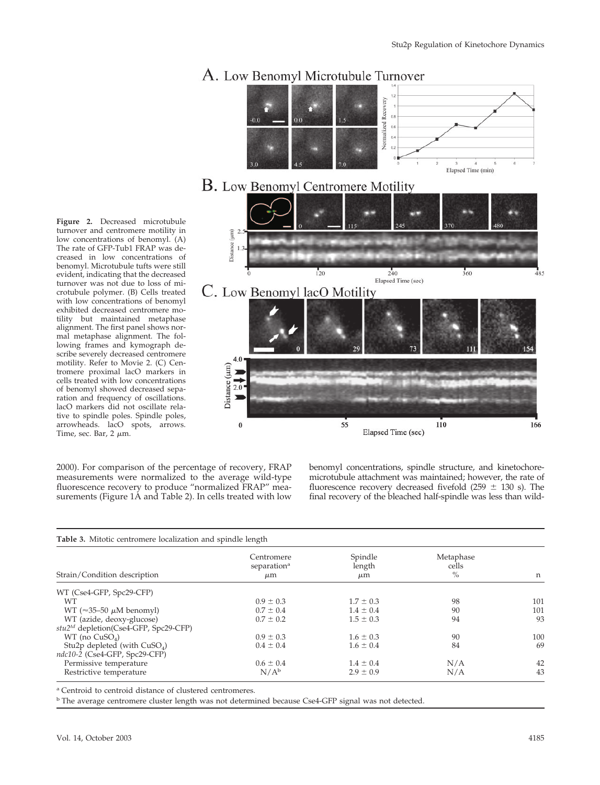

#### **Figure 2.** Decreased microtubule turnover and centromere motility in low concentrations of benomyl. (A) The rate of GFP-Tub1 FRAP was decreased in low concentrations of benomyl. Microtubule tufts were still evident, indicating that the decreased turnover was not due to loss of microtubule polymer. (B) Cells treated with low concentrations of benomyl exhibited decreased centromere motility but maintained metaphase alignment. The first panel shows normal metaphase alignment. The following frames and kymograph describe severely decreased centromere motility. Refer to Movie 2. (C) Centromere proximal lacO markers in cells treated with low concentrations of benomyl showed decreased separation and frequency of oscillations. lacO markers did not oscillate rela-

2000). For comparison of the percentage of recovery, FRAP measurements were normalized to the average wild-type fluorescence recovery to produce "normalized FRAP" measurements (Figure 1A and Table 2). In cells treated with low

benomyl concentrations, spindle structure, and kinetochoremicrotubule attachment was maintained; however, the rate of fluorescence recovery decreased fivefold (259  $\pm$  130 s). The final recovery of the bleached half-spindle was less than wild-

| Strain/Condition description                      | Centromere<br>separation <sup>a</sup><br>$\mu$ m | Spindle<br>length<br>$\mu$ m | Metaphase<br>cells<br>$\%$ | n   |
|---------------------------------------------------|--------------------------------------------------|------------------------------|----------------------------|-----|
| WT (Cse4-GFP, Spc29-CFP)                          |                                                  |                              |                            |     |
| WТ                                                | $0.9 \pm 0.3$                                    | $1.7 \pm 0.3$                | 98                         | 101 |
| WT ( $\approx$ 35–50 $\mu$ M benomyl)             | $0.7 \pm 0.4$                                    | $1.4 \pm 0.4$                | 90                         | 101 |
| WT (azide, deoxy-glucose)                         | $0.7 \pm 0.2$                                    | $1.5 \pm 0.3$                | 94                         | 93  |
| stu2 <sup>td</sup> depletion(Cse4-GFP, Spc29-CFP) |                                                  |                              |                            |     |
| $WT$ (no $CuSO4$ )                                | $0.9 \pm 0.3$                                    | $1.6 \pm 0.3$                | 90                         | 100 |
| Stu2p depleted (with $CuSO4$ )                    | $0.4 \pm 0.4$                                    | $1.6 \pm 0.4$                | 84                         | 69  |
| ndc10-2 (Cse4-GFP, Spc29-CFP)                     |                                                  |                              |                            |     |
| Permissive temperature                            | $0.6 \pm 0.4$                                    | $1.4 \pm 0.4$                | N/A                        | 42  |
| Restrictive temperature                           | $N/A^b$                                          | $2.9 \pm 0.9$                | N/A                        | 43  |

<sup>a</sup> Centroid to centroid distance of clustered centromeres.

<sup>b</sup> The average centromere cluster length was not determined because Cse4-GFP signal was not detected.

Time, sec. Bar,  $2 \mu m$ .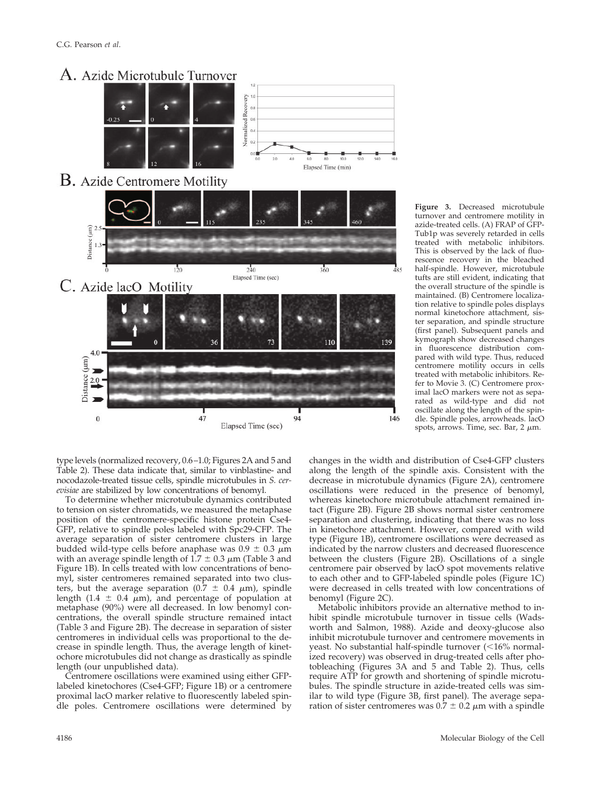

type levels (normalized recovery, 0.6–1.0; Figures 2A and 5 and Table 2). These data indicate that, similar to vinblastine- and nocodazole-treated tissue cells, spindle microtubules in *S. cerevisiae* are stabilized by low concentrations of benomyl.

To determine whether microtubule dynamics contributed to tension on sister chromatids, we measured the metaphase position of the centromere-specific histone protein Cse4- GFP, relative to spindle poles labeled with Spc29-CFP. The average separation of sister centromere clusters in large budded wild-type cells before anaphase was  $0.9 \pm 0.3 \mu m$ with an average spindle length of  $1.7 \pm 0.3 \ \mu m$  (Table 3 and Figure 1B). In cells treated with low concentrations of benomyl, sister centromeres remained separated into two clusters, but the average separation (0.7  $\pm$  0.4  $\mu$ m), spindle length (1.4  $\pm$  0.4  $\mu$ m), and percentage of population at metaphase (90%) were all decreased. In low benomyl concentrations, the overall spindle structure remained intact (Table 3 and Figure 2B). The decrease in separation of sister centromeres in individual cells was proportional to the decrease in spindle length. Thus, the average length of kinetochore microtubules did not change as drastically as spindle length (our unpublished data).

Centromere oscillations were examined using either GFPlabeled kinetochores (Cse4-GFP; Figure 1B) or a centromere proximal lacO marker relative to fluorescently labeled spindle poles. Centromere oscillations were determined by Tub1p was severely retarded in cells treated with metabolic inhibitors. This is observed by the lack of fluorescence recovery in the bleached half-spindle. However, microtubule tufts are still evident, indicating that the overall structure of the spindle is maintained. (B) Centromere localization relative to spindle poles displays normal kinetochore attachment, sister separation, and spindle structure (first panel). Subsequent panels and kymograph show decreased changes in fluorescence distribution compared with wild type. Thus, reduced centromere motility occurs in cells treated with metabolic inhibitors. Refer to Movie 3. (C) Centromere proximal lacO markers were not as separated as wild-type and did not oscillate along the length of the spindle. Spindle poles, arrowheads. lacO spots, arrows. Time, sec. Bar, 2  $\mu$ m.

**Figure 3.** Decreased microtubule turnover and centromere motility in azide-treated cells. (A) FRAP of GFP-

changes in the width and distribution of Cse4-GFP clusters along the length of the spindle axis. Consistent with the decrease in microtubule dynamics (Figure 2A), centromere oscillations were reduced in the presence of benomyl, whereas kinetochore microtubule attachment remained intact (Figure 2B). Figure 2B shows normal sister centromere separation and clustering, indicating that there was no loss in kinetochore attachment. However, compared with wild type (Figure 1B), centromere oscillations were decreased as indicated by the narrow clusters and decreased fluorescence between the clusters (Figure 2B). Oscillations of a single centromere pair observed by lacO spot movements relative to each other and to GFP-labeled spindle poles (Figure 1C) were decreased in cells treated with low concentrations of benomyl (Figure 2C).

Metabolic inhibitors provide an alternative method to inhibit spindle microtubule turnover in tissue cells (Wadsworth and Salmon, 1988). Azide and deoxy-glucose also inhibit microtubule turnover and centromere movements in yeast. No substantial half-spindle turnover  $($  < 16% normalized recovery) was observed in drug-treated cells after photobleaching (Figures 3A and 5 and Table 2). Thus, cells require ATP for growth and shortening of spindle microtubules. The spindle structure in azide-treated cells was similar to wild type (Figure 3B, first panel). The average separation of sister centromeres was  $0.7 \pm 0.2 \mu$ m with a spindle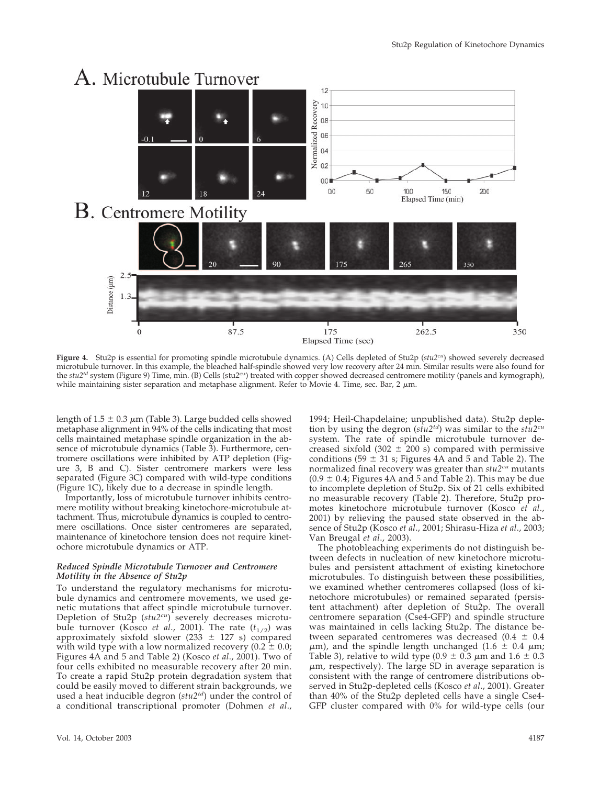

**Figure 4.** Stu2p is essential for promoting spindle microtubule dynamics. (A) Cells depleted of Stu2p (*stu2cu*) showed severely decreased microtubule turnover. In this example, the bleached half-spindle showed very low recovery after 24 min. Similar results were also found for the *stu2<sup>td</sup>* system (Figure 9) Time, min. (B) Cells (stu2<sup>cu</sup>) treated with copper showed decreased centromere motility (panels and kymograph), while maintaining sister separation and metaphase alignment. Refer to Movie 4. Time, sec. Bar, 2  $\mu$ m.

length of  $1.5 \pm 0.3 \mu$ m (Table 3). Large budded cells showed metaphase alignment in 94% of the cells indicating that most cells maintained metaphase spindle organization in the absence of microtubule dynamics (Table 3). Furthermore, centromere oscillations were inhibited by ATP depletion (Figure 3, B and C). Sister centromere markers were less separated (Figure 3C) compared with wild-type conditions (Figure 1C), likely due to a decrease in spindle length.

Importantly, loss of microtubule turnover inhibits centromere motility without breaking kinetochore-microtubule attachment. Thus, microtubule dynamics is coupled to centromere oscillations. Once sister centromeres are separated, maintenance of kinetochore tension does not require kinetochore microtubule dynamics or ATP.

#### *Reduced Spindle Microtubule Turnover and Centromere Motility in the Absence of Stu2p*

To understand the regulatory mechanisms for microtubule dynamics and centromere movements, we used genetic mutations that affect spindle microtubule turnover. Depletion of Stu2p (*stu2cu*) severely decreases microtubule turnover (Kosco *et al.*, 2001). The rate  $(t_{1/2})$  was approximately sixfold slower (233  $\pm$  127 s) compared with wild type with a low normalized recovery (0.2  $\pm$  0.0; Figures 4A and 5 and Table 2) (Kosco *et al*., 2001). Two of four cells exhibited no measurable recovery after 20 min. To create a rapid Stu2p protein degradation system that could be easily moved to different strain backgrounds, we used a heat inducible degron (*stu2td*) under the control of a conditional transcriptional promoter (Dohmen *et al*., 1994; Heil-Chapdelaine; unpublished data). Stu2p depletion by using the degron (*stu2td*) was similar to the *stu2cu* system. The rate of spindle microtubule turnover decreased sixfold (302  $\pm$  200 s) compared with permissive conditions (59  $\pm$  31 s; Figures 4A and 5 and Table 2). The normalized final recovery was greater than *stu2cu* mutants  $(0.9 \pm 0.4)$ ; Figures 4A and 5 and Table 2). This may be due to incomplete depletion of Stu2p. Six of 21 cells exhibited no measurable recovery (Table 2). Therefore, Stu2p promotes kinetochore microtubule turnover (Kosco *et al*., 2001) by relieving the paused state observed in the absence of Stu2p (Kosco *et al*., 2001; Shirasu-Hiza *et al*., 2003; Van Breugal *et al*., 2003).

The photobleaching experiments do not distinguish between defects in nucleation of new kinetochore microtubules and persistent attachment of existing kinetochore microtubules. To distinguish between these possibilities, we examined whether centromeres collapsed (loss of kinetochore microtubules) or remained separated (persistent attachment) after depletion of Stu2p. The overall centromere separation (Cse4-GFP) and spindle structure was maintained in cells lacking Stu2p. The distance between separated centromeres was decreased (0.4  $\pm$  0.4  $\mu$ m), and the spindle length unchanged (1.6  $\pm$  0.4  $\mu$ m; Table 3), relative to wild type (0.9  $\pm$  0.3  $\mu$ m and 1.6  $\pm$  0.3  $\mu$ m, respectively). The large SD in average separation is consistent with the range of centromere distributions observed in Stu2p-depleted cells (Kosco *et al*., 2001). Greater than 40% of the Stu2p depleted cells have a single Cse4- GFP cluster compared with 0% for wild-type cells (our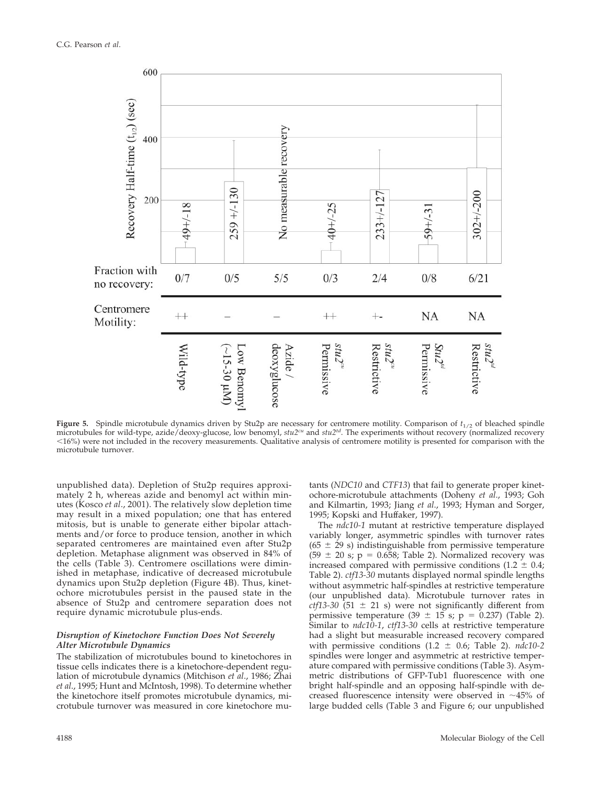

**Figure 5.** Spindle microtubule dynamics driven by Stu2p are necessary for centromere motility. Comparison of  $t_{1/2}$  of bleached spindle microtubules for wild-type, azide/deoxy-glucose, low benomyl,  $stu2<sup>cu</sup>$  and  $stu2<sup>td</sup>$ . The experiments without recovery (normalized recovery microtubules for wild-type, azide/deoxy-glucose, low benomyl,  $stu2<sup>cu</sup>$  and 16%) were not included in the recovery measurements. Qualitative analysis of centromere motility is presented for comparison with the microtubule turnover.

unpublished data). Depletion of Stu2p requires approximately 2 h, whereas azide and benomyl act within minutes (Kosco *et al*., 2001). The relatively slow depletion time may result in a mixed population; one that has entered mitosis, but is unable to generate either bipolar attachments and/or force to produce tension, another in which separated centromeres are maintained even after Stu2p depletion. Metaphase alignment was observed in 84% of the cells (Table 3). Centromere oscillations were diminished in metaphase, indicative of decreased microtubule dynamics upon Stu2p depletion (Figure 4B). Thus, kinetochore microtubules persist in the paused state in the absence of Stu2p and centromere separation does not require dynamic microtubule plus-ends.

# *Disruption of Kinetochore Function Does Not Severely Alter Microtubule Dynamics*

The stabilization of microtubules bound to kinetochores in tissue cells indicates there is a kinetochore-dependent regulation of microtubule dynamics (Mitchison *et al*., 1986; Zhai *et al*., 1995; Hunt and McIntosh, 1998). To determine whether the kinetochore itself promotes microtubule dynamics, microtubule turnover was measured in core kinetochore mutants (*NDC10* and *CTF13*) that fail to generate proper kinetochore-microtubule attachments (Doheny *et al*., 1993; Goh and Kilmartin, 1993; Jiang *et al*., 1993; Hyman and Sorger, 1995; Kopski and Huffaker, 1997).

The *ndc10-1* mutant at restrictive temperature displayed variably longer, asymmetric spindles with turnover rates (65  $\pm$  29 s) indistinguishable from permissive temperature  $(59 \pm 20 \text{ s}; \, \text{p} = 0.658; \text{ Table 2}).$  Normalized recovery was increased compared with permissive conditions (1.2  $\pm$  0.4; Table 2). *ctf13-30* mutants displayed normal spindle lengths without asymmetric half-spindles at restrictive temperature (our unpublished data). Microtubule turnover rates in  $ctf13-30$  (51  $\pm$  21 s) were not significantly different from permissive temperature (39  $\pm$  15 s; p = 0.237) (Table 2). Similar to *ndc10-1*, *ctf13-30* cells at restrictive temperature had a slight but measurable increased recovery compared with permissive conditions  $(1.2 \pm 0.6;$  Table 2).  $ndc10-2$ spindles were longer and asymmetric at restrictive temperature compared with permissive conditions (Table 3). Asymmetric distributions of GFP-Tub1 fluorescence with one bright half-spindle and an opposing half-spindle with decreased fluorescence intensity were observed in  $~10^{-45}$  of large budded cells (Table 3 and Figure 6; our unpublished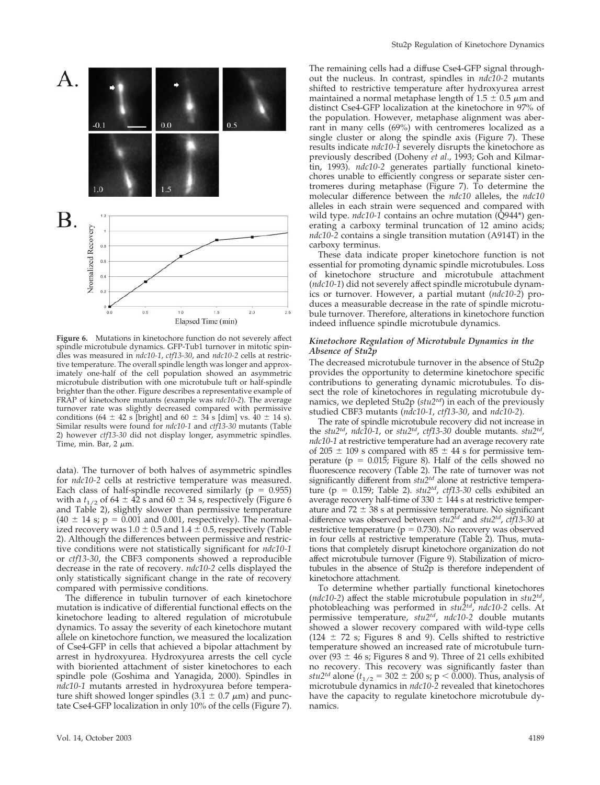

**Figure 6.** Mutations in kinetochore function do not severely affect spindle microtubule dynamics. GFP-Tub1 turnover in mitotic spindles was measured in *ndc10-1*, *ctf13-30*, and *ndc10-2* cells at restrictive temperature. The overall spindle length was longer and approximately one-half of the cell population showed an asymmetric microtubule distribution with one microtubule tuft or half-spindle brighter than the other. Figure describes a representative example of FRAP of kinetochore mutants (example was *ndc10-2*). The average turnover rate was slightly decreased compared with permissive conditions (64  $\pm$  42 s [bright] and 60  $\pm$  34 s [dim] vs. 40  $\pm$  14 s). Similar results were found for *ndc10-1* and *ctf13-30* mutants (Table 2) however *ctf13-30* did not display longer, asymmetric spindles. Time, min. Bar,  $2 \mu m$ .

data). The turnover of both halves of asymmetric spindles for *ndc10-2* cells at restrictive temperature was measured. Each class of half-spindle recovered similarly ( $p = 0.955$ ) with a  $t_{1/2}$  of 64  $\pm$  42 s and 60  $\pm$  34 s, respectively (Figure 6 and Table 2), slightly slower than permissive temperature  $(40 \pm 14 \text{ s}; \, \text{p} = 0.001 \text{ and } 0.001, \text{ respectively})$ . The normalized recovery was  $1.0 \pm 0.5$  and  $1.4 \pm 0.5$ , respectively (Table 2). Although the differences between permissive and restrictive conditions were not statistically significant for *ndc10-1* or *ctf13-30*, the CBF3 components showed a reproducible decrease in the rate of recovery. *ndc10-2* cells displayed the only statistically significant change in the rate of recovery compared with permissive conditions.

The difference in tubulin turnover of each kinetochore mutation is indicative of differential functional effects on the kinetochore leading to altered regulation of microtubule dynamics. To assay the severity of each kinetochore mutant allele on kinetochore function, we measured the localization of Cse4-GFP in cells that achieved a bipolar attachment by arrest in hydroxyurea. Hydroxyurea arrests the cell cycle with bioriented attachment of sister kinetochores to each spindle pole (Goshima and Yanagida, 2000). Spindles in *ndc10-1* mutants arrested in hydroxyurea before temperature shift showed longer spindles (3.1  $\pm$  0.7  $\mu$ m) and punctate Cse4-GFP localization in only 10% of the cells (Figure 7).

The remaining cells had a diffuse Cse4-GFP signal throughout the nucleus. In contrast, spindles in *ndc10-2* mutants shifted to restrictive temperature after hydroxyurea arrest maintained a normal metaphase length of  $1.5 \pm 0.5$   $\mu$ m and distinct Cse4-GFP localization at the kinetochore in 97% of the population. However, metaphase alignment was aberrant in many cells (69%) with centromeres localized as a single cluster or along the spindle axis (Figure 7). These results indicate *ndc10-1* severely disrupts the kinetochore as previously described (Doheny *et al*., 1993; Goh and Kilmartin, 1993). *ndc10-2* generates partially functional kinetochores unable to efficiently congress or separate sister centromeres during metaphase (Figure 7). To determine the molecular difference between the *ndc10* alleles, the *ndc10* alleles in each strain were sequenced and compared with wild type. *ndc10-1* contains an ochre mutation (Q944\*) generating a carboxy terminal truncation of 12 amino acids; *ndc10-2* contains a single transition mutation (A914T) in the carboxy terminus.

These data indicate proper kinetochore function is not essential for promoting dynamic spindle microtubules. Loss of kinetochore structure and microtubule attachment (*ndc10-1*) did not severely affect spindle microtubule dynamics or turnover. However, a partial mutant (*ndc10-2*) produces a measurable decrease in the rate of spindle microtubule turnover. Therefore, alterations in kinetochore function indeed influence spindle microtubule dynamics.

#### *Kinetochore Regulation of Microtubule Dynamics in the Absence of Stu2p*

The decreased microtubule turnover in the absence of Stu2p provides the opportunity to determine kinetochore specific contributions to generating dynamic microtubules. To dissect the role of kinetochores in regulating microtubule dynamics, we depleted Stu2p (*stu2td*) in each of the previously studied CBF3 mutants (*ndc10-1*, *ctf13-30*, and *ndc10-2*).

The rate of spindle microtubule recovery did not increase in the *stu2td*, *ndc10-1*, or *stu2td*, *ctf13-30* double mutants. *stu2td*, *ndc10-1* at restrictive temperature had an average recovery rate of 205  $\pm$  109 s compared with 85  $\pm$  44 s for permissive temperature ( $p = 0.015$ ; Figure 8). Half of the cells showed no fluorescence recovery (Table 2). The rate of turnover was not significantly different from  $stu2^{td}$  alone at restrictive temperature ( $p = 0.159$ ; Table 2).  $stu2^{td}$ ,  $ctf13-30$  cells exhibited an average recovery half-time of  $330 \pm 144$  s at restrictive temperature and  $72 \pm 38$  s at permissive temperature. No significant difference was observed between *stu2td* and *stu2td*, *ctf13-30* at restrictive temperature ( $p = 0.730$ ). No recovery was observed in four cells at restrictive temperature (Table 2). Thus, mutations that completely disrupt kinetochore organization do not affect microtubule turnover (Figure 9). Stabilization of microtubules in the absence of Stu2p is therefore independent of kinetochore attachment.

To determine whether partially functional kinetochores (*ndc10-2*) affect the stable microtubule population in *stu2td*, photobleaching was performed in *stu2td*, *ndc10-2* cells. At permissive temperature, *stu2td*, *ndc10-2* double mutants showed a slower recovery compared with wild-type cells  $(124 \pm 72 \text{ s})$ ; Figures 8 and 9). Cells shifted to restrictive temperature showed an increased rate of microtubule turnover (93  $\pm$  46 s; Figures 8 and 9). Three of 21 cells exhibited no recovery. This recovery was significantly faster than *stu2<sup>td</sup>* alone ( $t_{1/2}$  = 302  $\pm$  200 s; p < 0.000). Thus, analysis of microtubule dynamics in *ndc10-2* revealed that kinetochores have the capacity to regulate kinetochore microtubule dynamics.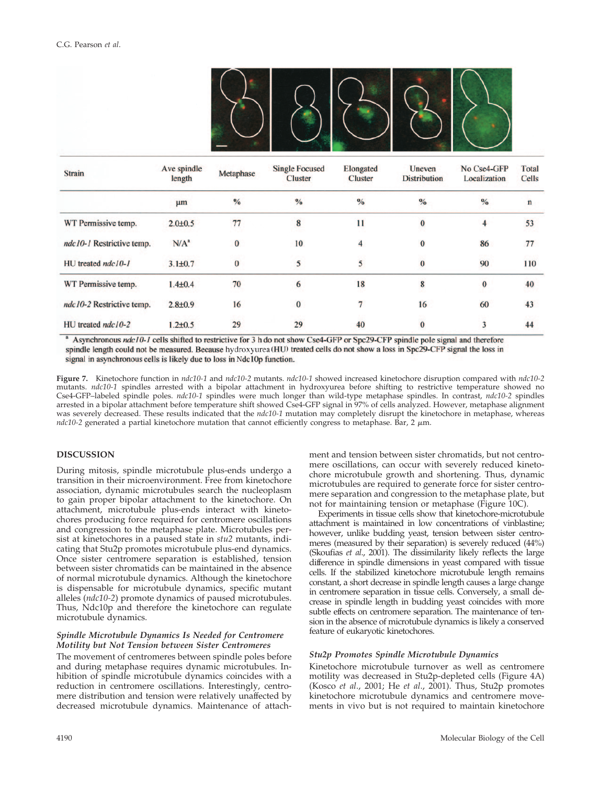

| <b>Strain</b>             | Ave spindle<br>length | Metaphase     | <b>Single Focused</b><br><b>Cluster</b> | Elongated<br><b>Cluster</b> | Uneven<br><b>Distribution</b> | No Cse4-GFP<br>Localization | <b>Total</b><br><b>Cells</b> |
|---------------------------|-----------------------|---------------|-----------------------------------------|-----------------------------|-------------------------------|-----------------------------|------------------------------|
|                           | µm                    | $\frac{0}{0}$ | $\frac{0}{0}$                           | $\frac{0}{0}$               | $\frac{0}{0}$                 | $\frac{0}{0}$               | $\mathbf n$                  |
| WT Permissive temp.       | $2.0 \pm 0.5$         | 77            | 8                                       | 11                          | $\bf{0}$                      | 4                           | 53                           |
| ndc10-1 Restrictive temp. | $N/A^a$               | $\bf{0}$      | 10                                      | 4                           | $\mathbf{0}$                  | 86                          | 77                           |
| HU treated ndc10-1        | $3.1 \pm 0.7$         | $\bf{0}$      | 5                                       | 5                           | $\mathbf{0}$                  | 90                          | 110                          |
| WT Permissive temp.       | $1.4 + 0.4$           | 70            | 6                                       | 18                          | 8                             | $\bf{0}$                    | 40                           |
| ndc10-2 Restrictive temp. | $2.8 \pm 0.9$         | 16            | $\bf{0}$                                | 7                           | 16                            | 60                          | 43                           |
| HU treated ndc10-2        | $1.2 \pm 0.5$         | 29            | 29                                      | 40                          | $\bf{0}$                      | 3                           | 44                           |

Asynchronous ndc10-1 cells shifted to restrictive for 3 h do not show Cse4-GFP or Spc29-CFP spindle pole signal and therefore spindle length could not be measured. Because hydroxyurea (HU) treated cells do not show a loss in Spc29-CFP signal the loss in signal in asynchronous cells is likely due to loss in Ndc10p function.

**Figure 7.** Kinetochore function in *ndc10-1* and *ndc10-2* mutants. *ndc10-1* showed increased kinetochore disruption compared with *ndc10-2* mutants. *ndc10-1* spindles arrested with a bipolar attachment in hydroxyurea before shifting to restrictive temperature showed no Cse4-GFP–labeled spindle poles. *ndc10-1* spindles were much longer than wild-type metaphase spindles. In contrast, *ndc10-2* spindles arrested in a bipolar attachment before temperature shift showed Cse4-GFP signal in 97% of cells analyzed. However, metaphase alignment was severely decreased. These results indicated that the *ndc10-1* mutation may completely disrupt the kinetochore in metaphase, whereas *ndc10-2* generated a partial kinetochore mutation that cannot efficiently congress to metaphase. Bar,  $2 \mu m$ .

# **DISCUSSION**

During mitosis, spindle microtubule plus-ends undergo a transition in their microenvironment. Free from kinetochore association, dynamic microtubules search the nucleoplasm to gain proper bipolar attachment to the kinetochore. On attachment, microtubule plus-ends interact with kinetochores producing force required for centromere oscillations and congression to the metaphase plate. Microtubules persist at kinetochores in a paused state in *stu2* mutants, indicating that Stu2p promotes microtubule plus-end dynamics. Once sister centromere separation is established, tension between sister chromatids can be maintained in the absence of normal microtubule dynamics. Although the kinetochore is dispensable for microtubule dynamics, specific mutant alleles (*ndc10-2*) promote dynamics of paused microtubules. Thus, Ndc10p and therefore the kinetochore can regulate microtubule dynamics.

#### *Spindle Microtubule Dynamics Is Needed for Centromere Motility but Not Tension between Sister Centromeres*

The movement of centromeres between spindle poles before and during metaphase requires dynamic microtubules. Inhibition of spindle microtubule dynamics coincides with a reduction in centromere oscillations. Interestingly, centromere distribution and tension were relatively unaffected by decreased microtubule dynamics. Maintenance of attachment and tension between sister chromatids, but not centromere oscillations, can occur with severely reduced kinetochore microtubule growth and shortening. Thus, dynamic microtubules are required to generate force for sister centromere separation and congression to the metaphase plate, but not for maintaining tension or metaphase (Figure 10C).

Experiments in tissue cells show that kinetochore-microtubule attachment is maintained in low concentrations of vinblastine; however, unlike budding yeast, tension between sister centromeres (measured by their separation) is severely reduced (44%) (Skoufias *et al*., 2001). The dissimilarity likely reflects the large difference in spindle dimensions in yeast compared with tissue cells. If the stabilized kinetochore microtubule length remains constant, a short decrease in spindle length causes a large change in centromere separation in tissue cells. Conversely, a small decrease in spindle length in budding yeast coincides with more subtle effects on centromere separation. The maintenance of tension in the absence of microtubule dynamics is likely a conserved feature of eukaryotic kinetochores.

# *Stu2p Promotes Spindle Microtubule Dynamics*

Kinetochore microtubule turnover as well as centromere motility was decreased in Stu2p-depleted cells (Figure 4A) (Kosco *et al*., 2001; He *et al*., 2001). Thus, Stu2p promotes kinetochore microtubule dynamics and centromere movements in vivo but is not required to maintain kinetochore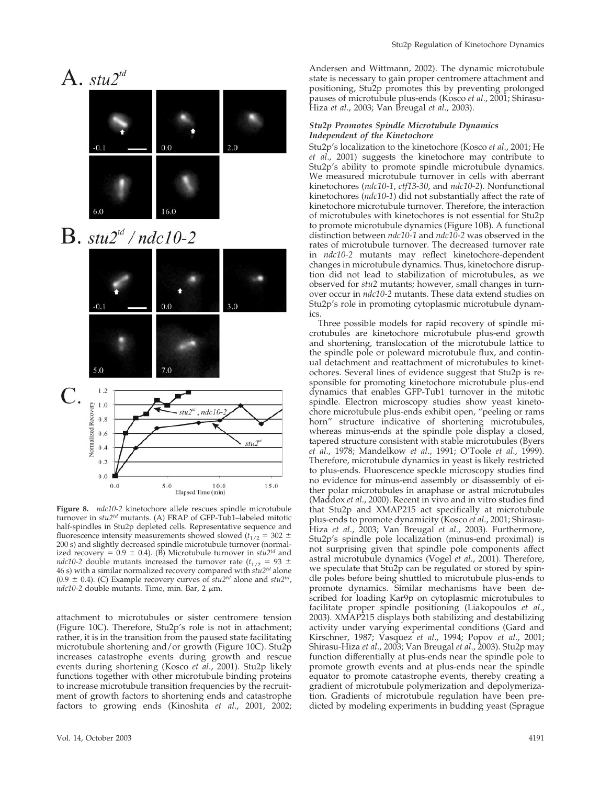

**Figure 8.** *ndc10-2* kinetochore allele rescues spindle microtubule turnover in *stu2td* mutants. (A) FRAP of GFP-Tub1–labeled mitotic half-spindles in Stu2p depleted cells. Representative sequence and fluorescence intensity measurements showed slowed ( $t_{1/2}$  = 302  $\pm$ 200 s) and slightly decreased spindle microtubule turnover (normalized recovery =  $0.9 \pm 0.4$ ). (B) Microtubule turnover in *stu2<sup>td</sup>* and *ndc10-2* double mutants increased the turnover rate ( $t_{1/2}$  = 93  $\pm$ 46 s) with a similar normalized recovery compared with *stu2td* alone  $(0.9 \pm 0.4)$ . (C) Example recovery curves of  $\frac{1}{2}$  *stu2<sup>td</sup>*, alone and *stu2<sup>td</sup>*,  $ndc10-2$  double mutants. Time, min. Bar, 2  $\mu$ m.

 $5.0\,$ 

10.0

Elapsed Time (min)

15.0

attachment to microtubules or sister centromere tension (Figure 10C). Therefore, Stu2p's role is not in attachment; rather, it is in the transition from the paused state facilitating microtubule shortening and/or growth (Figure 10C). Stu2p increases catastrophe events during growth and rescue events during shortening (Kosco *et al*., 2001). Stu2p likely functions together with other microtubule binding proteins to increase microtubule transition frequencies by the recruitment of growth factors to shortening ends and catastrophe factors to growing ends (Kinoshita *et al*., 2001, 2002;

 $0.0$ 

Andersen and Wittmann, 2002). The dynamic microtubule state is necessary to gain proper centromere attachment and positioning, Stu2p promotes this by preventing prolonged pauses of microtubule plus-ends (Kosco *et al*., 2001; Shirasu-Hiza *et al*., 2003; Van Breugal *et al*., 2003).

#### *Stu2p Promotes Spindle Microtubule Dynamics Independent of the Kinetochore*

Stu2p's localization to the kinetochore (Kosco *et al*., 2001; He *et al*., 2001) suggests the kinetochore may contribute to Stu2p's ability to promote spindle microtubule dynamics. We measured microtubule turnover in cells with aberrant kinetochores (*ndc10-1*, *ctf13-30*, and *ndc10-2*). Nonfunctional kinetochores (*ndc10-1*) did not substantially affect the rate of kinetochore microtubule turnover. Therefore, the interaction of microtubules with kinetochores is not essential for Stu2p to promote microtubule dynamics (Figure 10B). A functional distinction between *ndc10-1* and *ndc10-2* was observed in the rates of microtubule turnover. The decreased turnover rate in *ndc10-2* mutants may reflect kinetochore-dependent changes in microtubule dynamics. Thus, kinetochore disruption did not lead to stabilization of microtubules, as we observed for *stu2* mutants; however, small changes in turnover occur in *ndc10-2* mutants. These data extend studies on Stu2p's role in promoting cytoplasmic microtubule dynamics.

Three possible models for rapid recovery of spindle microtubules are kinetochore microtubule plus-end growth and shortening, translocation of the microtubule lattice to the spindle pole or poleward microtubule flux, and continual detachment and reattachment of microtubules to kinetochores. Several lines of evidence suggest that Stu2p is responsible for promoting kinetochore microtubule plus-end dynamics that enables GFP-Tub1 turnover in the mitotic spindle. Electron microscopy studies show yeast kinetochore microtubule plus-ends exhibit open, "peeling or rams horn" structure indicative of shortening microtubules, whereas minus-ends at the spindle pole display a closed, tapered structure consistent with stable microtubules (Byers *et al*., 1978; Mandelkow *et al*., 1991; O'Toole *et al*., 1999). Therefore, microtubule dynamics in yeast is likely restricted to plus-ends. Fluorescence speckle microscopy studies find no evidence for minus-end assembly or disassembly of either polar microtubules in anaphase or astral microtubules (Maddox *et al*., 2000). Recent in vivo and in vitro studies find that Stu2p and XMAP215 act specifically at microtubule plus-ends to promote dynamicity (Kosco *et al*., 2001; Shirasu-Hiza *et al*., 2003; Van Breugal *et al*., 2003). Furthermore, Stu2p's spindle pole localization (minus-end proximal) is not surprising given that spindle pole components affect astral microtubule dynamics (Vogel *et al*., 2001). Therefore, we speculate that Stu2p can be regulated or stored by spindle poles before being shuttled to microtubule plus-ends to promote dynamics. Similar mechanisms have been described for loading Kar9p on cytoplasmic microtubules to facilitate proper spindle positioning (Liakopoulos *et al*., 2003). XMAP215 displays both stabilizing and destabilizing activity under varying experimental conditions (Gard and Kirschner, 1987; Vasquez *et al*., 1994; Popov *et al*., 2001; Shirasu-Hiza *et al*., 2003; Van Breugal *et al*., 2003). Stu2p may function differentially at plus-ends near the spindle pole to promote growth events and at plus-ends near the spindle equator to promote catastrophe events, thereby creating a gradient of microtubule polymerization and depolymerization. Gradients of microtubule regulation have been predicted by modeling experiments in budding yeast (Sprague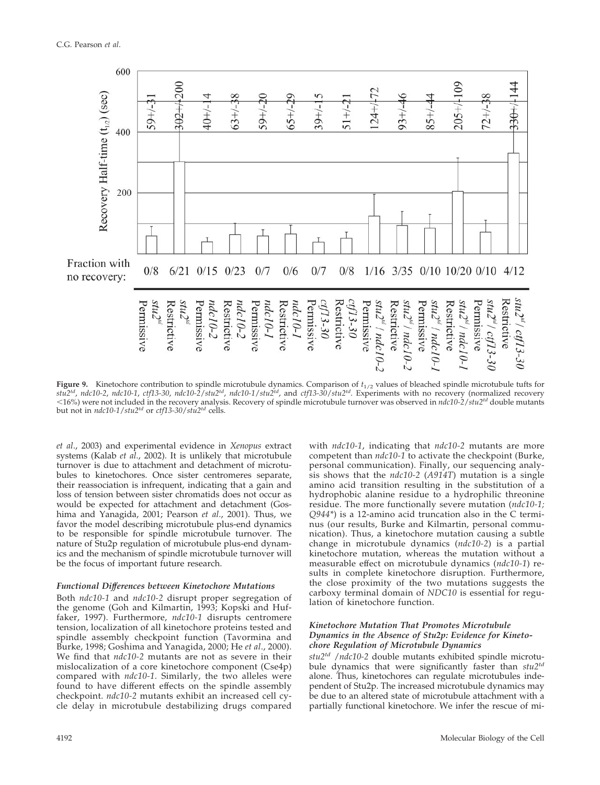

**Figure 9.** Kinetochore contribution to spindle microtubule dynamics. Comparison of  $t_{1/2}$  values of bleached spindle microtubule tufts for *stu2td*, *ndc10-2*, *ndc10-1*, *ctf13-30*, *ndc10-2*/*stu2td*, *ndc10-1*/*stu2td*, and *ctf13-30*/*stu2td*. Experiments with no recovery (normalized recovery 16%) were not included in the recovery analysis. Recovery of spindle microtubule turnover was observed in *ndc10-2*/*stu2td* double mutants but not in *ndc10-1*/*stu2td* or *ctf13-30*/*stu2td* cells.

*et al*., 2003) and experimental evidence in *Xenopus* extract systems (Kalab *et al*., 2002). It is unlikely that microtubule turnover is due to attachment and detachment of microtubules to kinetochores. Once sister centromeres separate, their reassociation is infrequent, indicating that a gain and loss of tension between sister chromatids does not occur as would be expected for attachment and detachment (Goshima and Yanagida, 2001; Pearson *et al*., 2001). Thus, we favor the model describing microtubule plus-end dynamics to be responsible for spindle microtubule turnover. The nature of Stu2p regulation of microtubule plus-end dynamics and the mechanism of spindle microtubule turnover will be the focus of important future research.

#### *Functional Differences between Kinetochore Mutations*

Both *ndc10-1* and *ndc10-2* disrupt proper segregation of the genome (Goh and Kilmartin, 1993; Kopski and Huffaker, 1997). Furthermore, *ndc10-1* disrupts centromere tension, localization of all kinetochore proteins tested and spindle assembly checkpoint function (Tavormina and Burke, 1998; Goshima and Yanagida, 2000; He *et al*., 2000). We find that *ndc10-2* mutants are not as severe in their mislocalization of a core kinetochore component (Cse4p) compared with *ndc10-1*. Similarly, the two alleles were found to have different effects on the spindle assembly checkpoint. *ndc10-2* mutants exhibit an increased cell cycle delay in microtubule destabilizing drugs compared

with *ndc10-1*, indicating that *ndc10-2* mutants are more competent than *ndc10-1* to activate the checkpoint (Burke, personal communication). Finally, our sequencing analysis shows that the *ndc10-2* (*A914T*) mutation is a single amino acid transition resulting in the substitution of a hydrophobic alanine residue to a hydrophilic threonine residue. The more functionally severe mutation (*ndc10-1; Q944\**) is a 12-amino acid truncation also in the C terminus (our results, Burke and Kilmartin, personal communication). Thus, a kinetochore mutation causing a subtle change in microtubule dynamics (*ndc10-2*) is a partial kinetochore mutation, whereas the mutation without a measurable effect on microtubule dynamics (*ndc10-1*) results in complete kinetochore disruption. Furthermore, the close proximity of the two mutations suggests the carboxy terminal domain of *NDC10* is essential for regulation of kinetochore function.

## *Kinetochore Mutation That Promotes Microtubule Dynamics in the Absence of Stu2p: Evidence for Kinetochore Regulation of Microtubule Dynamics*

*stu2td* /*ndc10-2* double mutants exhibited spindle microtubule dynamics that were significantly faster than *stu2td* alone. Thus, kinetochores can regulate microtubules independent of Stu2p. The increased microtubule dynamics may be due to an altered state of microtubule attachment with a partially functional kinetochore. We infer the rescue of mi-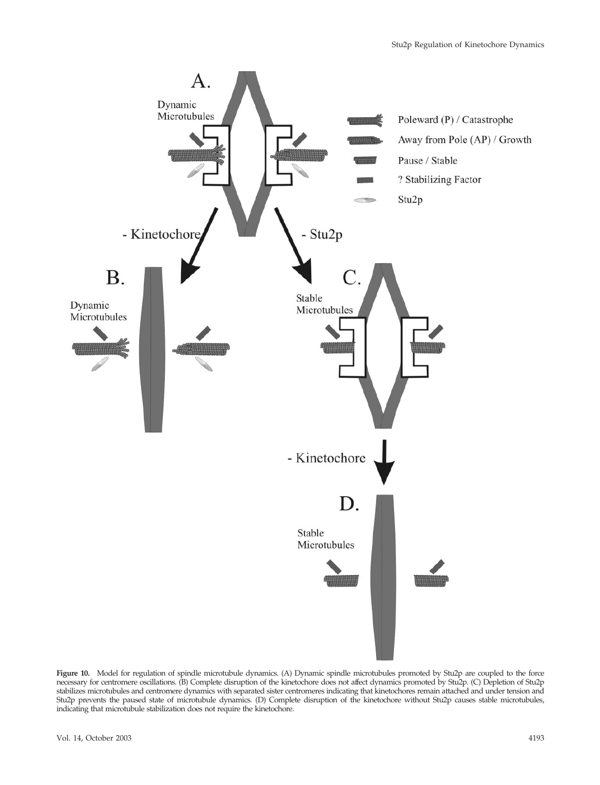

**Figure 10.** Model for regulation of spindle microtubule dynamics. (A) Dynamic spindle microtubules promoted by Stu2p are coupled to the force necessary for centromere oscillations. (B) Complete disruption of the kinetochore does not affect dynamics promoted by Stu2p. (C) Depletion of Stu2p stabilizes microtubules and centromere dynamics with separated sister centromeres indicating that kinetochores remain attached and under tension and Stu2p prevents the paused state of microtubule dynamics. (D) Complete disruption of the kinetochore without Stu2p causes stable microtubules, indicating that microtubule stabilization does not require the kinetochore.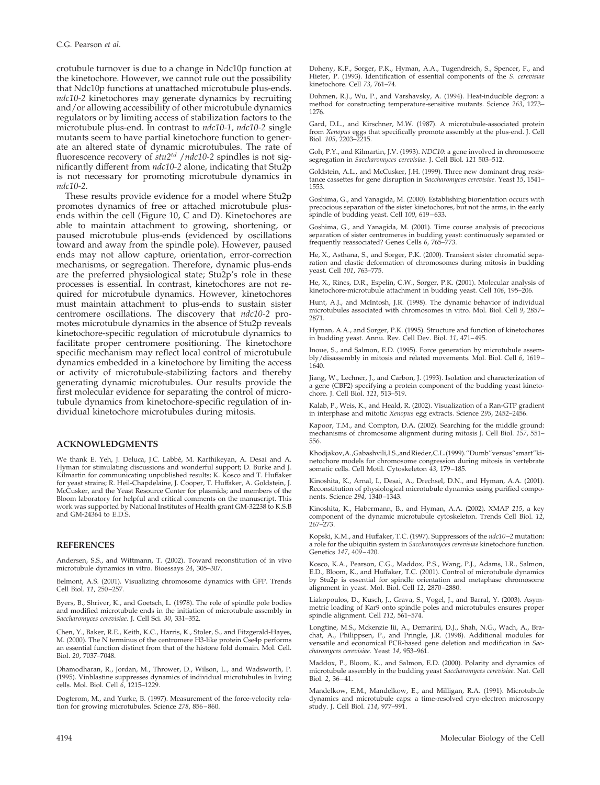crotubule turnover is due to a change in Ndc10p function at the kinetochore. However, we cannot rule out the possibility that Ndc10p functions at unattached microtubule plus-ends. *ndc10-2* kinetochores may generate dynamics by recruiting and/or allowing accessibility of other microtubule dynamics regulators or by limiting access of stabilization factors to the microtubule plus-end. In contrast to *ndc10-1*, *ndc10-2* single mutants seem to have partial kinetochore function to generate an altered state of dynamic microtubules. The rate of fluorescence recovery of *stu2td* /*ndc10-2* spindles is not significantly different from *ndc10-2* alone, indicating that Stu2p is not necessary for promoting microtubule dynamics in *ndc10-2*.

These results provide evidence for a model where Stu2p promotes dynamics of free or attached microtubule plusends within the cell (Figure 10, C and D). Kinetochores are able to maintain attachment to growing, shortening, or paused microtubule plus-ends (evidenced by oscillations toward and away from the spindle pole). However, paused ends may not allow capture, orientation, error-correction mechanisms, or segregation. Therefore, dynamic plus-ends are the preferred physiological state; Stu2p's role in these processes is essential. In contrast, kinetochores are not required for microtubule dynamics. However, kinetochores must maintain attachment to plus-ends to sustain sister centromere oscillations. The discovery that *ndc10-2* promotes microtubule dynamics in the absence of Stu2p reveals kinetochore-specific regulation of microtubule dynamics to facilitate proper centromere positioning. The kinetochore specific mechanism may reflect local control of microtubule dynamics embedded in a kinetochore by limiting the access or activity of microtubule-stabilizing factors and thereby generating dynamic microtubules. Our results provide the first molecular evidence for separating the control of microtubule dynamics from kinetochore-specific regulation of individual kinetochore microtubules during mitosis.

#### **ACKNOWLEDGMENTS**

We thank E. Yeh, J. Deluca, J.C. Labbé, M. Karthikeyan, A. Desai and A. Hyman for stimulating discussions and wonderful support; D. Burke and J. Kilmartin for communicating unpublished results; K. Kosco and T. Huffaker for yeast strains; R. Heil-Chapdelaine, J. Cooper, T. Huffaker, A. Goldstein, J. McCusker, and the Yeast Resource Center for plasmids; and members of the Bloom laboratory for helpful and critical comments on the manuscript. This work was supported by National Institutes of Health grant GM-32238 to K.S.B and GM-24364 to E.D.S.

#### **REFERENCES**

Andersen, S.S., and Wittmann, T. (2002). Toward reconstitution of in vivo microtubule dynamics in vitro. Bioessays *24*, 305–307.

Belmont, A.S. (2001). Visualizing chromosome dynamics with GFP. Trends Cell Biol. *11*, 250–257.

Byers, B., Shriver, K., and Goetsch, L. (1978). The role of spindle pole bodies and modified microtubule ends in the initiation of microtubule assembly in *Saccharomyces cerevisiae.* J. Cell Sci. *30*, 331–352.

Chen, Y., Baker, R.E., Keith, K.C., Harris, K., Stoler, S., and Fitzgerald-Hayes, M. (2000). The N terminus of the centromere H3-like protein Cse4p performs an essential function distinct from that of the histone fold domain. Mol. Cell. Biol. *20*, 7037–7048.

Dhamodharan, R., Jordan, M., Thrower, D., Wilson, L., and Wadsworth, P. (1995). Vinblastine suppresses dynamics of individual microtubules in living cells. Mol. Biol. Cell *6*, 1215–1229.

Dogterom, M., and Yurke, B. (1997). Measurement of the force-velocity relation for growing microtubules. Science *278*, 856–860.

Doheny, K.F., Sorger, P.K., Hyman, A.A., Tugendreich, S., Spencer, F., and Hieter, P. (1993). Identification of essential components of the *S. cerevisiae* kinetochore. Cell *73*, 761–74.

Dohmen, R.J., Wu, P., and Varshavsky, A. (1994). Heat-inducible degron: a method for constructing temperature-sensitive mutants. Science *263*, 1273– 1276.

Gard, D.L., and Kirschner, M.W. (1987). A microtubule-associated protein from *Xenopus* eggs that specifically promote assembly at the plus-end. J. Cell Biol. *105*, 2203–2215.

Goh, P.Y., and Kilmartin, J.V. (1993). *NDC10*: a gene involved in chromosome segregation in *Saccharomyces cerevisiae*. J. Cell Biol. *121* 503–512.

Goldstein, A.L., and McCusker, J.H. (1999). Three new dominant drug resistance cassettes for gene disruption in *Saccharomyces cerevisiae.* Yeast *15*, 1541– 1553.

Goshima, G., and Yanagida, M. (2000). Establishing biorientation occurs with precocious separation of the sister kinetochores, but not the arms, in the early spindle of budding yeast. Cell *100*, 619–633.

Goshima, G., and Yanagida, M. (2001). Time course analysis of precocious separation of sister centromeres in budding yeast: continuously separated or frequently reassociated? Genes Cells *6*, 765–773.

He, X., Asthana, S., and Sorger, P.K. (2000). Transient sister chromatid separation and elastic deformation of chromosomes during mitosis in budding yeast. Cell *101*, 763–775.

He, X., Rines, D.R., Espelin, C.W., Sorger, P.K. (2001). Molecular analysis of kinetochore-microtubule attachment in budding yeast. Cell *106*, 195–206.

Hunt, A.J., and McIntosh, J.R. (1998). The dynamic behavior of individual microtubules associated with chromosomes in vitro. Mol. Biol. Cell *9*, 2857– 2871.

Hyman, A.A., and Sorger, P.K. (1995). Structure and function of kinetochores in budding yeast. Annu. Rev. Cell Dev. Biol. *11*, 471–495.

Inoue, S., and Salmon, E.D. (1995). Force generation by microtubule assembly/disassembly in mitosis and related movements. Mol. Biol. Cell *6*, 1619– 1640.

Jiang, W., Lechner, J., and Carbon, J. (1993). Isolation and characterization of a gene (CBF2) specifying a protein component of the budding yeast kineto-chore. J. Cell Biol. *121*, 513–519.

Kalab, P., Weis, K., and Heald, R. (2002). Visualization of a Ran-GTP gradient in interphase and mitotic *Xenopus* egg extracts. Science *295*, 2452–2456.

Kapoor, T.M., and Compton, D.A. (2002). Searching for the middle ground: mechanisms of chromosome alignment during mitosis J. Cell Biol. *157*, 551– 556.

Khodjakov,A.,Gabashvili,I.S.,andRieder,C.L.(1999)."Dumb"versus"smart"kinetochore models for chromosome congression during mitosis in vertebrate somatic cells. Cell Motil. Cytoskeleton *43*, 179–185.

Kinoshita, K., Arnal, I., Desai, A., Drechsel, D.N., and Hyman, A.A. (2001). Reconstitution of physiological microtubule dynamics using purified components. Science *294*, 1340–1343.

Kinoshita, K., Habermann, B., and Hyman, A.A. (2002). XMAP *215*, a key component of the dynamic microtubule cytoskeleton. Trends Cell Biol. *12*, 267–273.

Kopski, K.M., and Huffaker, T.C. (1997). Suppressors of the *ndc10 –2* mutation: a role for the ubiquitin system in *Saccharomyces cerevisiae* kinetochore function. Genetics *147*, 409–420.

Kosco, K.A., Pearson, C.G., Maddox, P.S., Wang, P.J., Adams, I.R., Salmon, E.D., Bloom, K., and Huffaker, T.C. (2001). Control of microtubule dynamics by Stu2p is essential for spindle orientation and metaphase chromosome alignment in yeast. Mol. Biol. Cell *12*, 2870–2880.

Liakopoulos, D., Kusch, J., Grava, S., Vogel, J., and Barral, Y. (2003). Asymmetric loading of Kar9 onto spindle poles and microtubules ensures proper spindle alignment. Cell *112*, 561–574.

Longtine, M.S., Mckenzie Iii, A., Demarini, D.J., Shah, N.G., Wach, A., Brachat, A., Philippsen, P., and Pringle, J.R. (1998). Additional modules for versatile and economical PCR-based gene deletion and modification in *Saccharomyces cerevisiae.* Yeast *14*, 953–961.

Maddox, P., Bloom, K., and Salmon, E.D. (2000). Polarity and dynamics of microtubule assembly in the budding yeast *Saccharomyces cerevisiae.* Nat. Cell Biol. *2*, 36–41.

Mandelkow, E.M., Mandelkow, E., and Milligan, R.A. (1991). Microtubule dynamics and microtubule caps: a time-resolved cryo-electron microscopy study. J. Cell Biol. *114*, 977–991.